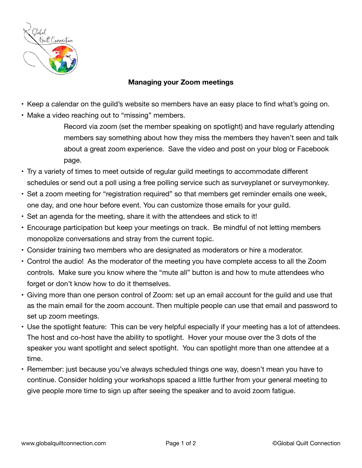

## **Managing your Zoom meetings**

- Keep a calendar on the guild's website so members have an easy place to find what's going on.
- Make a video reaching out to "missing" members.

Record via zoom (set the member speaking on spotlight) and have regularly attending members say something about how they miss the members they haven't seen and talk about a great zoom experience. Save the video and post on your blog or Facebook page.

- Try a variety of times to meet outside of regular guild meetings to accommodate different schedules or send out a poll using a free polling service such as surveyplanet or surveymonkey.
- Set a zoom meeting for "registration required" so that members get reminder emails one week, one day, and one hour before event. You can customize those emails for your guild.
- Set an agenda for the meeting, share it with the attendees and stick to it!
- Encourage participation but keep your meetings on track. Be mindful of not letting members monopolize conversations and stray from the current topic.
- Consider training two members who are designated as moderators or hire a moderator.
- Control the audio! As the moderator of the meeting you have complete access to all the Zoom controls. Make sure you know where the "mute all" button is and how to mute attendees who forget or don't know how to do it themselves.
- Giving more than one person control of Zoom: set up an email account for the guild and use that as the main email for the zoom account. Then multiple people can use that email and password to set up zoom meetings.
- Use the spotlight feature: This can be very helpful especially if your meeting has a lot of attendees. The host and co-host have the ability to spotlight. Hover your mouse over the 3 dots of the speaker you want spotlight and select spotlight. You can spotlight more than one attendee at a time.
- Remember: just because you've always scheduled things one way, doesn't mean you have to continue. Consider holding your workshops spaced a little further from your general meeting to give people more time to sign up after seeing the speaker and to avoid zoom fatigue.